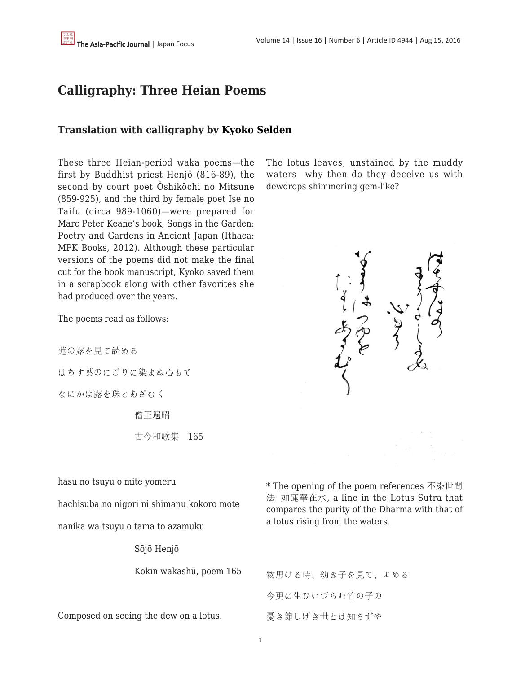## **Calligraphy: Three Heian Poems**

## **Translation with calligraphy by [Kyoko Selden](https://apjjf.org/-Kyoko-Selden)**

These three Heian-period waka poems—the first by Buddhist priest Henjō (816-89), the second by court poet Ōshikōchi no Mitsune (859-925), and the third by female poet Ise no Taifu (circa 989-1060)—were prepared for Marc Peter Keane's book, Songs in the Garden: Poetry and Gardens in Ancient Japan (Ithaca: MPK Books, 2012). Although these particular versions of the poems did not make the final cut for the book manuscript, Kyoko saved them in a scrapbook along with other favorites she had produced over the years.

The poems read as follows:

蓮の露を見て読める

はちす葉のにごりに染まぬ心もて

なにかは露を珠とあざむく

僧正遍昭

古今和歌集 165

hasu no tsuyu o mite yomeru

hachisuba no nigori ni shimanu kokoro mote

nanika wa tsuyu o tama to azamuku

Sōjō Henjō

Kokin wakashū, poem 165

Composed on seeing the dew on a lotus.

The lotus leaves, unstained by the muddy waters—why then do they deceive us with dewdrops shimmering gem-like?



\* The opening of the poem references 不染世間 法 如蓮華在水, a line in the Lotus Sutra that compares the purity of the Dharma with that of a lotus rising from the waters.

物思ける時、幼き子を見て、よめる 今更に生ひいづらむ竹の子の 憂き節しげき世とは知らずや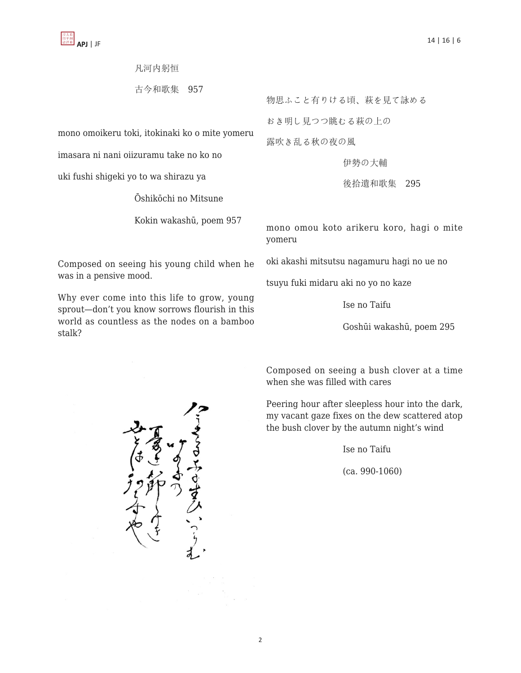## 凡河内躬恒

古今和歌集 957

mono omoikeru toki, itokinaki ko o mite yomeru

imasara ni nani oiizuramu take no ko no

uki fushi shigeki yo to wa shirazu ya

Ōshikōchi no Mitsune

Kokin wakashū, poem 957

Composed on seeing his young child when he was in a pensive mood.

Why ever come into this life to grow, young sprout—don't you know sorrows flourish in this world as countless as the nodes on a bamboo stalk?

物思ふこと有りける頃、萩を見て詠める

おき明し見つつ眺むる萩の上の

露吹き乱る秋の夜の風

伊勢の大輔

後拾遺和歌集 295

mono omou koto arikeru koro, hagi o mite yomeru

oki akashi mitsutsu nagamuru hagi no ue no

tsuyu fuki midaru aki no yo no kaze

Ise no Taifu

Goshūi wakashū, poem 295

Composed on seeing a bush clover at a time when she was filled with cares

Peering hour after sleepless hour into the dark, my vacant gaze fixes on the dew scattered atop the bush clover by the autumn night's wind

Ise no Taifu

(ca. 990-1060)

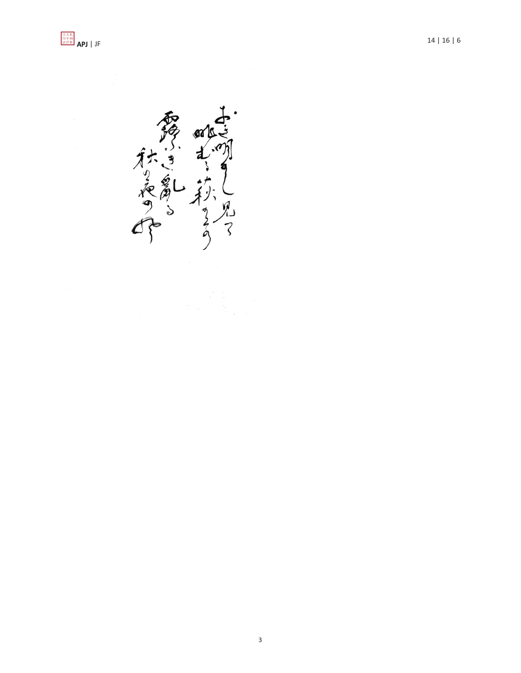